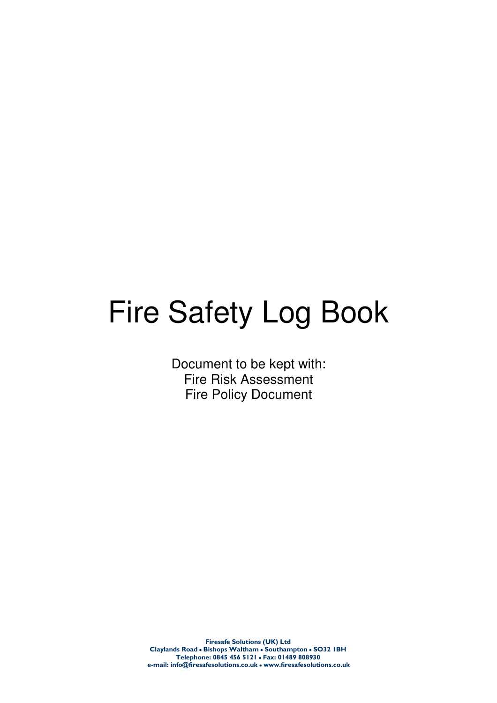# Fire Safety Log Book

Document to be kept with: Fire Risk Assessment Fire Policy Document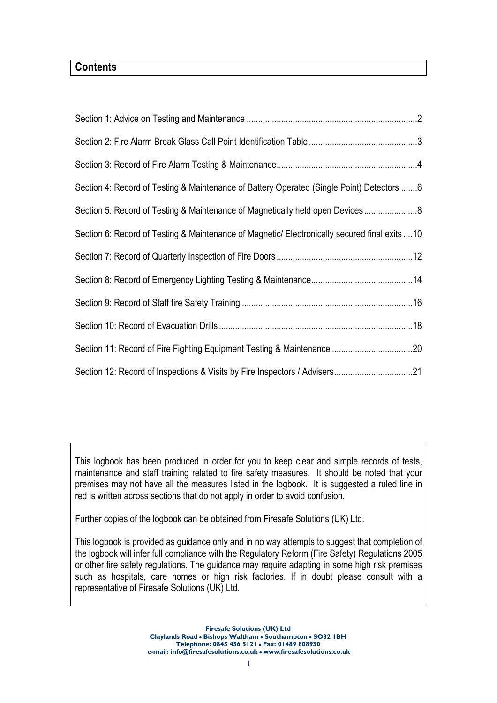# **Contents**

| Section 4: Record of Testing & Maintenance of Battery Operated (Single Point) Detectors 6     |  |
|-----------------------------------------------------------------------------------------------|--|
| Section 5: Record of Testing & Maintenance of Magnetically held open Devices                  |  |
| Section 6: Record of Testing & Maintenance of Magnetic/ Electronically secured final exits 10 |  |
|                                                                                               |  |
|                                                                                               |  |
|                                                                                               |  |
|                                                                                               |  |
|                                                                                               |  |
| Section 12: Record of Inspections & Visits by Fire Inspectors / Advisers21                    |  |

This logbook has been produced in order for you to keep clear and simple records of tests, maintenance and staff training related to fire safety measures. It should be noted that your premises may not have all the measures listed in the logbook. It is suggested a ruled line in red is written across sections that do not apply in order to avoid confusion.

Further copies of the logbook can be obtained from Firesafe Solutions (UK) Ltd.

This logbook is provided as guidance only and in no way attempts to suggest that completion of the logbook will infer full compliance with the Regulatory Reform (Fire Safety) Regulations 2005 or other fire safety regulations. The guidance may require adapting in some high risk premises such as hospitals, care homes or high risk factories. If in doubt please consult with a representative of Firesafe Solutions (UK) Ltd.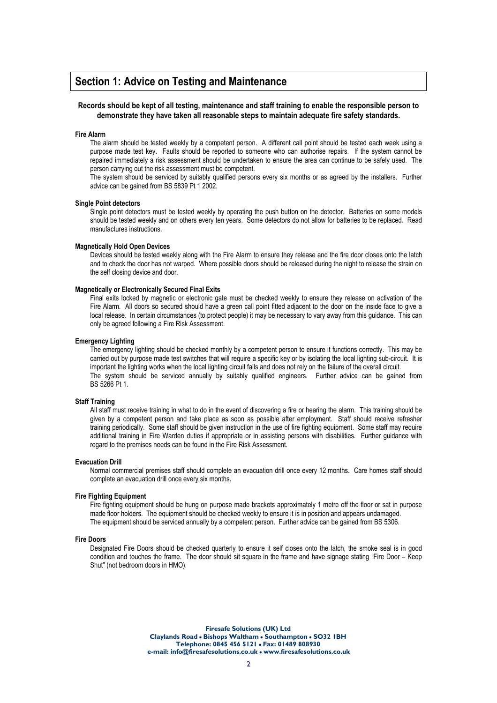### Section 1: Advice on Testing and Maintenance

### Records should be kept of all testing, maintenance and staff training to enable the responsible person to demonstrate they have taken all reasonable steps to maintain adequate fire safety standards.

#### Fire Alarm

The alarm should be tested weekly by a competent person. A different call point should be tested each week using a purpose made test key. Faults should be reported to someone who can authorise repairs. If the system cannot be repaired immediately a risk assessment should be undertaken to ensure the area can continue to be safely used. The person carrying out the risk assessment must be competent.

The system should be serviced by suitably qualified persons every six months or as agreed by the installers. Further advice can be gained from BS 5839 Pt 1 2002.

#### Single Point detectors

Single point detectors must be tested weekly by operating the push button on the detector. Batteries on some models should be tested weekly and on others every ten years. Some detectors do not allow for batteries to be replaced. Read manufactures instructions.

### Magnetically Hold Open Devices

Devices should be tested weekly along with the Fire Alarm to ensure they release and the fire door closes onto the latch and to check the door has not warped. Where possible doors should be released during the night to release the strain on the self closing device and door.

### Magnetically or Electronically Secured Final Exits

Final exits locked by magnetic or electronic gate must be checked weekly to ensure they release on activation of the Fire Alarm. All doors so secured should have a green call point fitted adjacent to the door on the inside face to give a local release. In certain circumstances (to protect people) it may be necessary to vary away from this guidance. This can only be agreed following a Fire Risk Assessment.

### Emergency Lighting

The emergency lighting should be checked monthly by a competent person to ensure it functions correctly. This may be carried out by purpose made test switches that will require a specific key or by isolating the local lighting sub-circuit. It is important the lighting works when the local lighting circuit fails and does not rely on the failure of the overall circuit. The system should be serviced annually by suitably qualified engineers. Further advice can be gained from BS 5266 Pt 1.

### Staff Training

All staff must receive training in what to do in the event of discovering a fire or hearing the alarm. This training should be given by a competent person and take place as soon as possible after employment. Staff should receive refresher training periodically. Some staff should be given instruction in the use of fire fighting equipment. Some staff may require additional training in Fire Warden duties if appropriate or in assisting persons with disabilities. Further guidance with regard to the premises needs can be found in the Fire Risk Assessment.

#### Evacuation Drill

Normal commercial premises staff should complete an evacuation drill once every 12 months. Care homes staff should complete an evacuation drill once every six months.

#### Fire Fighting Equipment

Fire fighting equipment should be hung on purpose made brackets approximately 1 metre off the floor or sat in purpose made floor holders. The equipment should be checked weekly to ensure it is in position and appears undamaged. The equipment should be serviced annually by a competent person. Further advice can be gained from BS 5306.

#### Fire Doors

Designated Fire Doors should be checked quarterly to ensure it self closes onto the latch, the smoke seal is in good condition and touches the frame. The door should sit square in the frame and have signage stating "Fire Door – Keep Shut" (not bedroom doors in HMO).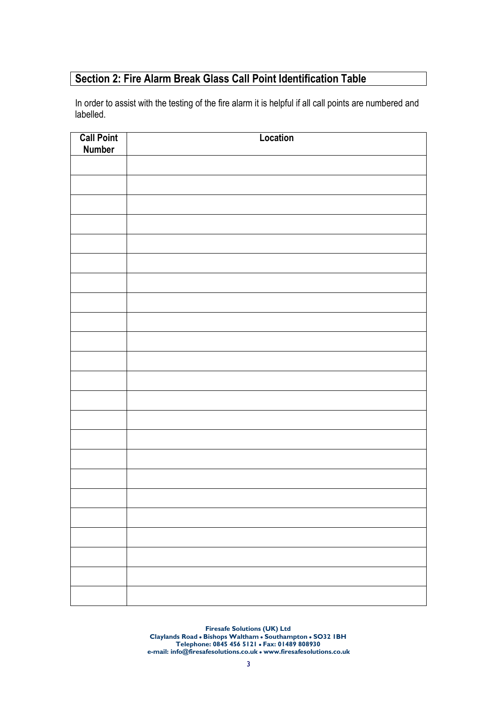# Section 2: Fire Alarm Break Glass Call Point Identification Table

In order to assist with the testing of the fire alarm it is helpful if all call points are numbered and labelled.

| <b>Call Point</b><br><b>Number</b> | Location |
|------------------------------------|----------|
|                                    |          |
|                                    |          |
|                                    |          |
|                                    |          |
|                                    |          |
|                                    |          |
|                                    |          |
|                                    |          |
|                                    |          |
|                                    |          |
|                                    |          |
|                                    |          |
|                                    |          |
|                                    |          |
|                                    |          |
|                                    |          |
|                                    |          |
|                                    |          |
|                                    |          |
|                                    |          |
|                                    |          |
|                                    |          |
|                                    |          |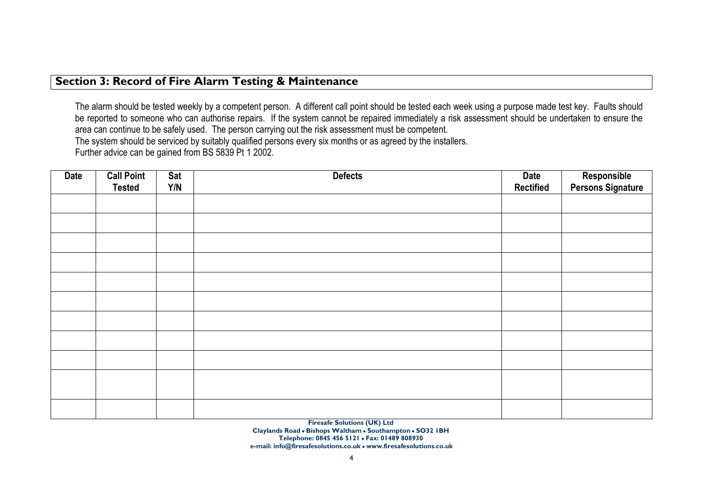### Section 3: Record of Fire Alarm Testing & Maintenance

The alarm should be tested weekly by a competent person. A different call point should be tested each week using a purpose made test key. Faults should be reported to someone who can authorise repairs. If the system cannot be repaired immediately a risk assessment should be undertaken to ensure the area can continue to be safely used. The person carrying out the risk assessment must be competent. The system should be serviced by suitably qualified persons every six months or as agreed by the installers. Further advice can be gained from BS 5839 Pt 1 2002.

| <b>Date</b> | <b>Call Point</b><br><b>Tested</b> | Sat<br>Y/N | <b>Defects</b> | <b>Date</b><br><b>Rectified</b> | Responsible<br>Persons Signature |
|-------------|------------------------------------|------------|----------------|---------------------------------|----------------------------------|
|             |                                    |            |                |                                 |                                  |
|             |                                    |            |                |                                 |                                  |
|             |                                    |            |                |                                 |                                  |
|             |                                    |            |                |                                 |                                  |
|             |                                    |            |                |                                 |                                  |
|             |                                    |            |                |                                 |                                  |
|             |                                    |            |                |                                 |                                  |
|             |                                    |            |                |                                 |                                  |
|             |                                    |            |                |                                 |                                  |
|             |                                    |            |                |                                 |                                  |
|             |                                    |            |                |                                 |                                  |
|             |                                    |            |                |                                 |                                  |
|             |                                    |            |                |                                 |                                  |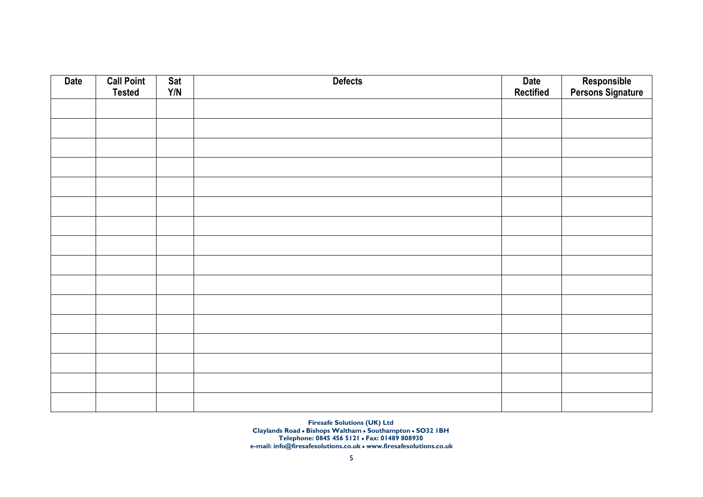| <b>Date</b> | <b>Call Point</b><br><b>Tested</b> | Sat<br>Y/N | <b>Defects</b> | Date<br>Rectified | Responsible<br>Persons Signature |
|-------------|------------------------------------|------------|----------------|-------------------|----------------------------------|
|             |                                    |            |                |                   |                                  |
|             |                                    |            |                |                   |                                  |
|             |                                    |            |                |                   |                                  |
|             |                                    |            |                |                   |                                  |
|             |                                    |            |                |                   |                                  |
|             |                                    |            |                |                   |                                  |
|             |                                    |            |                |                   |                                  |
|             |                                    |            |                |                   |                                  |
|             |                                    |            |                |                   |                                  |
|             |                                    |            |                |                   |                                  |
|             |                                    |            |                |                   |                                  |
|             |                                    |            |                |                   |                                  |
|             |                                    |            |                |                   |                                  |
|             |                                    |            |                |                   |                                  |
|             |                                    |            |                |                   |                                  |
|             |                                    |            |                |                   |                                  |
|             |                                    |            |                |                   |                                  |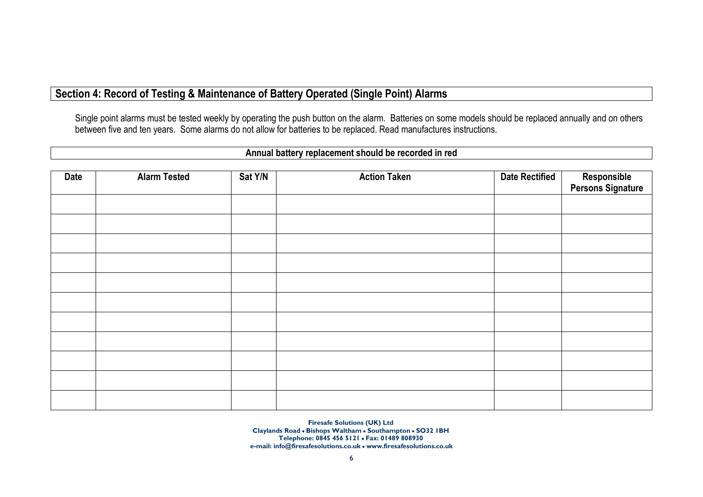## Section 4: Record of Testing & Maintenance of Battery Operated (Single Point) Alarms

Single point alarms must be tested weekly by operating the push button on the alarm. Batteries on some models should be replaced annually and on others between five and ten years. Some alarms do not allow for batteries to be replaced. Read manufactures instructions.

### Annual battery replacement should be recorded in red

| Date | <b>Alarm Tested</b> | Sat Y/N | <b>Action Taken</b> | <b>Date Rectified</b> | Responsible<br>Persons Signature |
|------|---------------------|---------|---------------------|-----------------------|----------------------------------|
|      |                     |         |                     |                       |                                  |
|      |                     |         |                     |                       |                                  |
|      |                     |         |                     |                       |                                  |
|      |                     |         |                     |                       |                                  |
|      |                     |         |                     |                       |                                  |
|      |                     |         |                     |                       |                                  |
|      |                     |         |                     |                       |                                  |
|      |                     |         |                     |                       |                                  |
|      |                     |         |                     |                       |                                  |
|      |                     |         |                     |                       |                                  |
|      |                     |         |                     |                       |                                  |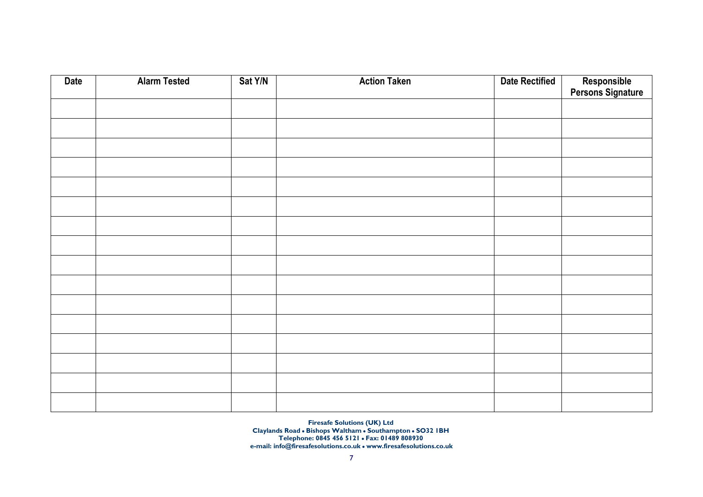| <b>Date</b> | <b>Alarm Tested</b> | Sat Y/N | <b>Action Taken</b> | <b>Date Rectified</b> | Responsible<br>Persons Signature |
|-------------|---------------------|---------|---------------------|-----------------------|----------------------------------|
|             |                     |         |                     |                       |                                  |
|             |                     |         |                     |                       |                                  |
|             |                     |         |                     |                       |                                  |
|             |                     |         |                     |                       |                                  |
|             |                     |         |                     |                       |                                  |
|             |                     |         |                     |                       |                                  |
|             |                     |         |                     |                       |                                  |
|             |                     |         |                     |                       |                                  |
|             |                     |         |                     |                       |                                  |
|             |                     |         |                     |                       |                                  |
|             |                     |         |                     |                       |                                  |
|             |                     |         |                     |                       |                                  |
|             |                     |         |                     |                       |                                  |
|             |                     |         |                     |                       |                                  |
|             |                     |         |                     |                       |                                  |
|             |                     |         |                     |                       |                                  |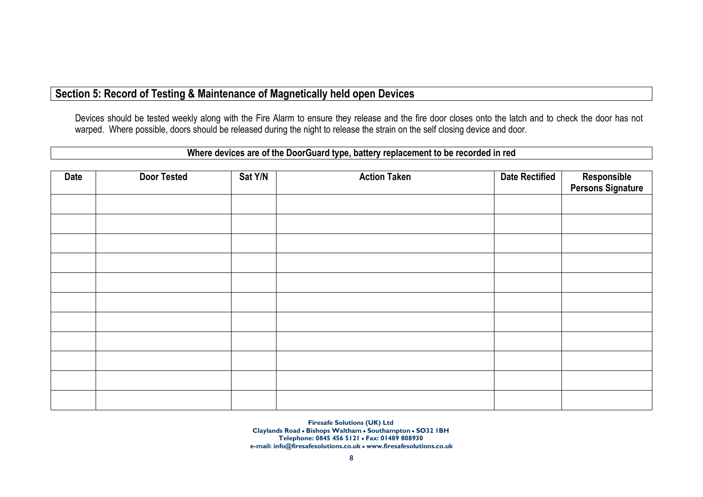## Section 5: Record of Testing & Maintenance of Magnetically held open Devices

Devices should be tested weekly along with the Fire Alarm to ensure they release and the fire door closes onto the latch and to check the door has not warped. Where possible, doors should be released during the night to release the strain on the self closing device and door.

### Where devices are of the DoorGuard type, battery replacement to be recorded in red

| <b>Date</b> | <b>Door Tested</b> | Sat Y/N | <b>Action Taken</b> | <b>Date Rectified</b> | Responsible<br>Persons Signature |
|-------------|--------------------|---------|---------------------|-----------------------|----------------------------------|
|             |                    |         |                     |                       |                                  |
|             |                    |         |                     |                       |                                  |
|             |                    |         |                     |                       |                                  |
|             |                    |         |                     |                       |                                  |
|             |                    |         |                     |                       |                                  |
|             |                    |         |                     |                       |                                  |
|             |                    |         |                     |                       |                                  |
|             |                    |         |                     |                       |                                  |
|             |                    |         |                     |                       |                                  |
|             |                    |         |                     |                       |                                  |
|             |                    |         |                     |                       |                                  |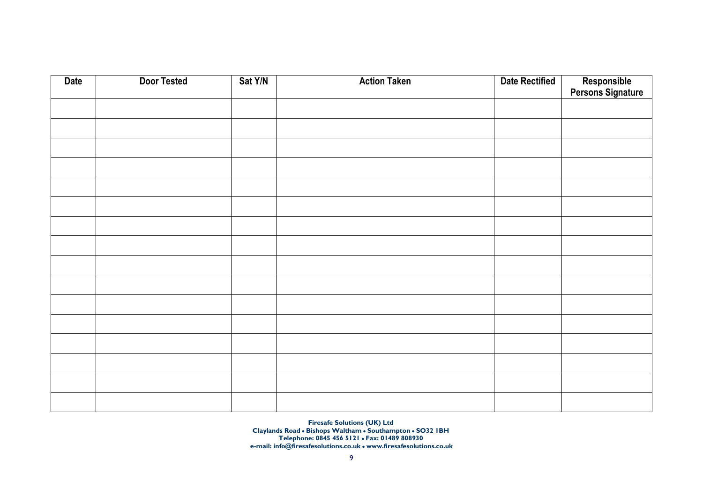| <b>Date</b> | <b>Door Tested</b> | Sat Y/N | <b>Action Taken</b> | <b>Date Rectified</b> | Responsible<br>Persons Signature |
|-------------|--------------------|---------|---------------------|-----------------------|----------------------------------|
|             |                    |         |                     |                       |                                  |
|             |                    |         |                     |                       |                                  |
|             |                    |         |                     |                       |                                  |
|             |                    |         |                     |                       |                                  |
|             |                    |         |                     |                       |                                  |
|             |                    |         |                     |                       |                                  |
|             |                    |         |                     |                       |                                  |
|             |                    |         |                     |                       |                                  |
|             |                    |         |                     |                       |                                  |
|             |                    |         |                     |                       |                                  |
|             |                    |         |                     |                       |                                  |
|             |                    |         |                     |                       |                                  |
|             |                    |         |                     |                       |                                  |
|             |                    |         |                     |                       |                                  |
|             |                    |         |                     |                       |                                  |
|             |                    |         |                     |                       |                                  |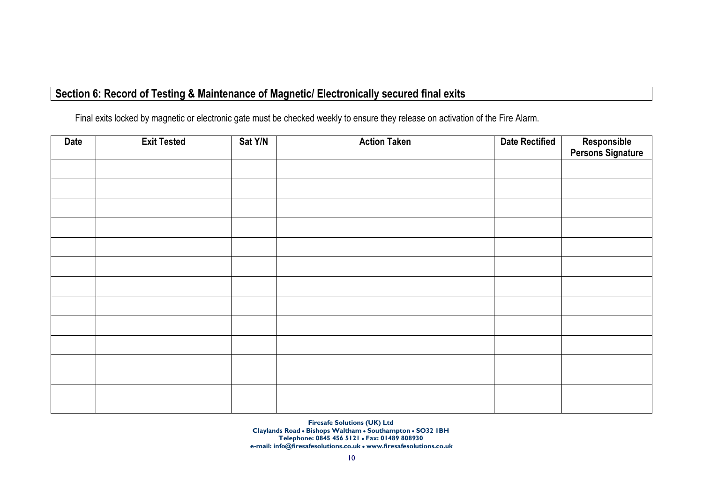# Section 6: Record of Testing & Maintenance of Magnetic/ Electronically secured final exits

Final exits locked by magnetic or electronic gate must be checked weekly to ensure they release on activation of the Fire Alarm.

| <b>Date</b> | <b>Exit Tested</b> | Sat Y/N | <b>Action Taken</b> | <b>Date Rectified</b> | Responsible<br>Persons Signature |
|-------------|--------------------|---------|---------------------|-----------------------|----------------------------------|
|             |                    |         |                     |                       |                                  |
|             |                    |         |                     |                       |                                  |
|             |                    |         |                     |                       |                                  |
|             |                    |         |                     |                       |                                  |
|             |                    |         |                     |                       |                                  |
|             |                    |         |                     |                       |                                  |
|             |                    |         |                     |                       |                                  |
|             |                    |         |                     |                       |                                  |
|             |                    |         |                     |                       |                                  |
|             |                    |         |                     |                       |                                  |
|             |                    |         |                     |                       |                                  |
|             |                    |         |                     |                       |                                  |
|             |                    |         |                     |                       |                                  |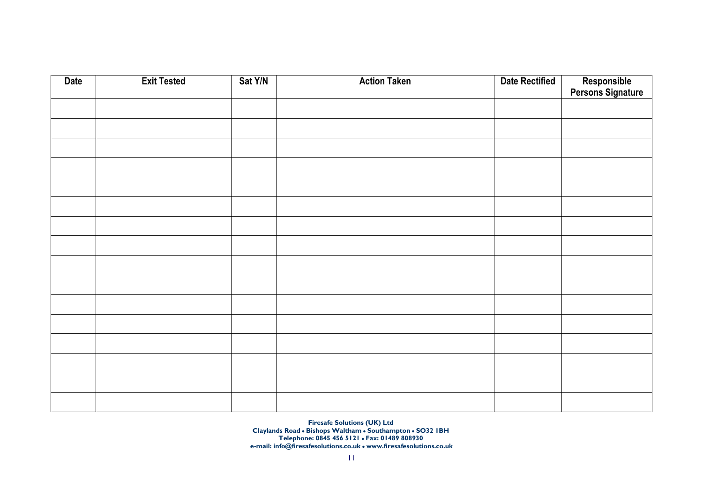| <b>Date</b> | <b>Exit Tested</b> | Sat Y/N | <b>Action Taken</b> | <b>Date Rectified</b> | Responsible<br>Persons Signature |
|-------------|--------------------|---------|---------------------|-----------------------|----------------------------------|
|             |                    |         |                     |                       |                                  |
|             |                    |         |                     |                       |                                  |
|             |                    |         |                     |                       |                                  |
|             |                    |         |                     |                       |                                  |
|             |                    |         |                     |                       |                                  |
|             |                    |         |                     |                       |                                  |
|             |                    |         |                     |                       |                                  |
|             |                    |         |                     |                       |                                  |
|             |                    |         |                     |                       |                                  |
|             |                    |         |                     |                       |                                  |
|             |                    |         |                     |                       |                                  |
|             |                    |         |                     |                       |                                  |
|             |                    |         |                     |                       |                                  |
|             |                    |         |                     |                       |                                  |
|             |                    |         |                     |                       |                                  |
|             |                    |         |                     |                       |                                  |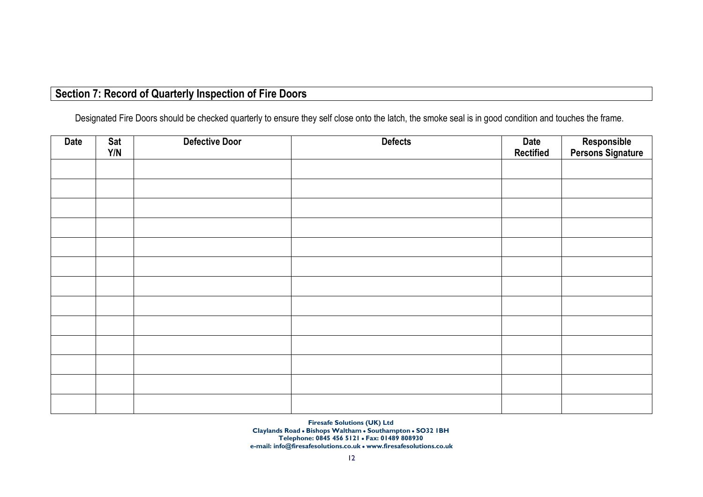# Section 7: Record of Quarterly Inspection of Fire Doors

Designated Fire Doors should be checked quarterly to ensure they self close onto the latch, the smoke seal is in good condition and touches the frame.

| Date | Sat<br>Y/N | <b>Defective Door</b> | <b>Defects</b> | Date<br><b>Rectified</b> | Responsible<br>Persons Signature |
|------|------------|-----------------------|----------------|--------------------------|----------------------------------|
|      |            |                       |                |                          |                                  |
|      |            |                       |                |                          |                                  |
|      |            |                       |                |                          |                                  |
|      |            |                       |                |                          |                                  |
|      |            |                       |                |                          |                                  |
|      |            |                       |                |                          |                                  |
|      |            |                       |                |                          |                                  |
|      |            |                       |                |                          |                                  |
|      |            |                       |                |                          |                                  |
|      |            |                       |                |                          |                                  |
|      |            |                       |                |                          |                                  |
|      |            |                       |                |                          |                                  |
|      |            |                       |                |                          |                                  |
|      |            |                       |                |                          |                                  |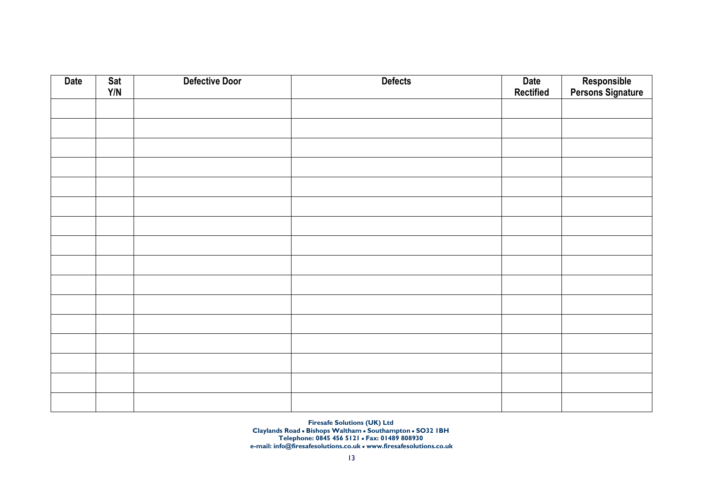| <b>Date</b> | Sat<br>$\mathsf{Y}/\mathsf{N}$ | <b>Defective Door</b> | <b>Defects</b> | <b>Date</b><br><b>Rectified</b> | Responsible<br>Persons Signature |
|-------------|--------------------------------|-----------------------|----------------|---------------------------------|----------------------------------|
|             |                                |                       |                |                                 |                                  |
|             |                                |                       |                |                                 |                                  |
|             |                                |                       |                |                                 |                                  |
|             |                                |                       |                |                                 |                                  |
|             |                                |                       |                |                                 |                                  |
|             |                                |                       |                |                                 |                                  |
|             |                                |                       |                |                                 |                                  |
|             |                                |                       |                |                                 |                                  |
|             |                                |                       |                |                                 |                                  |
|             |                                |                       |                |                                 |                                  |
|             |                                |                       |                |                                 |                                  |
|             |                                |                       |                |                                 |                                  |
|             |                                |                       |                |                                 |                                  |
|             |                                |                       |                |                                 |                                  |
|             |                                |                       |                |                                 |                                  |
|             |                                |                       |                |                                 |                                  |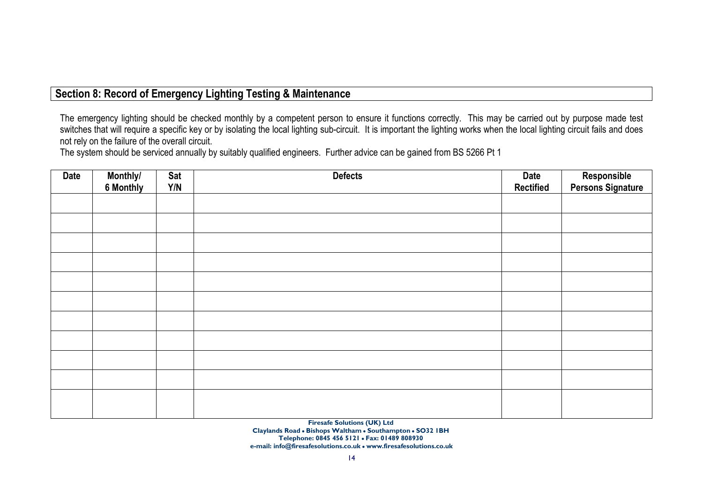# Section 8: Record of Emergency Lighting Testing & Maintenance

The emergency lighting should be checked monthly by a competent person to ensure it functions correctly. This may be carried out by purpose made test switches that will require a specific key or by isolating the local lighting sub-circuit. It is important the lighting works when the local lighting circuit fails and does not rely on the failure of the overall circuit.

The system should be serviced annually by suitably qualified engineers. Further advice can be gained from BS 5266 Pt 1

| <b>Date</b> | Monthly/  | Sat | <b>Defects</b> | Date             | Responsible<br>Persons Signature |
|-------------|-----------|-----|----------------|------------------|----------------------------------|
|             | 6 Monthly | Y/N |                | <b>Rectified</b> |                                  |
|             |           |     |                |                  |                                  |
|             |           |     |                |                  |                                  |
|             |           |     |                |                  |                                  |
|             |           |     |                |                  |                                  |
|             |           |     |                |                  |                                  |
|             |           |     |                |                  |                                  |
|             |           |     |                |                  |                                  |
|             |           |     |                |                  |                                  |
|             |           |     |                |                  |                                  |
|             |           |     |                |                  |                                  |
|             |           |     |                |                  |                                  |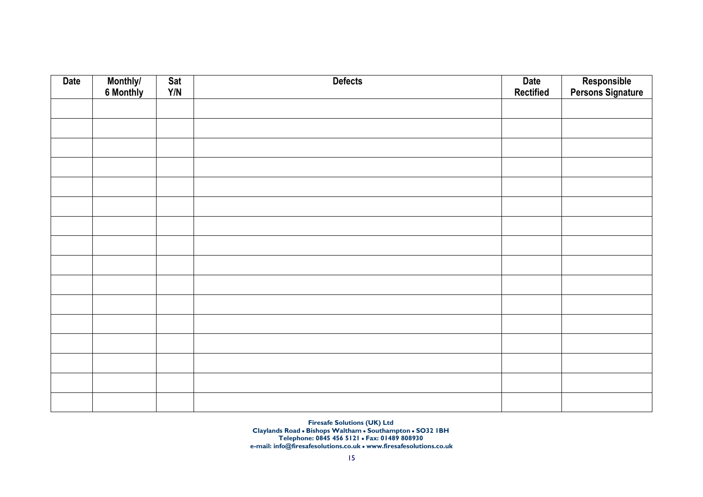| <b>Date</b> | Monthly/<br>6 Monthly | Sat<br>Y/N | <b>Defects</b> | Date<br>Rectified | Responsible<br>Persons Signature |
|-------------|-----------------------|------------|----------------|-------------------|----------------------------------|
|             |                       |            |                |                   |                                  |
|             |                       |            |                |                   |                                  |
|             |                       |            |                |                   |                                  |
|             |                       |            |                |                   |                                  |
|             |                       |            |                |                   |                                  |
|             |                       |            |                |                   |                                  |
|             |                       |            |                |                   |                                  |
|             |                       |            |                |                   |                                  |
|             |                       |            |                |                   |                                  |
|             |                       |            |                |                   |                                  |
|             |                       |            |                |                   |                                  |
|             |                       |            |                |                   |                                  |
|             |                       |            |                |                   |                                  |
|             |                       |            |                |                   |                                  |
|             |                       |            |                |                   |                                  |
|             |                       |            |                |                   |                                  |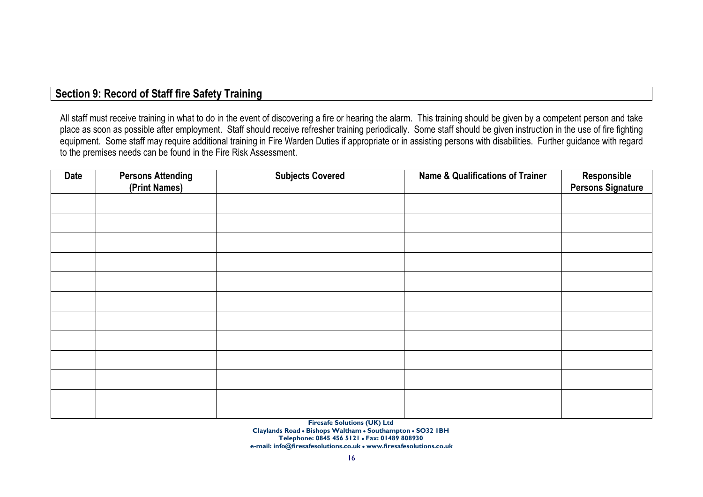# Section 9: Record of Staff fire Safety Training

All staff must receive training in what to do in the event of discovering a fire or hearing the alarm. This training should be given by a competent person and take place as soon as possible after employment. Staff should receive refresher training periodically. Some staff should be given instruction in the use of fire fighting equipment. Some staff may require additional training in Fire Warden Duties if appropriate or in assisting persons with disabilities. Further guidance with regard to the premises needs can be found in the Fire Risk Assessment.

| <b>Date</b> | <b>Persons Attending</b><br>(Print Names) | <b>Subjects Covered</b> | <b>Name &amp; Qualifications of Trainer</b> | Responsible<br>Persons Signature |
|-------------|-------------------------------------------|-------------------------|---------------------------------------------|----------------------------------|
|             |                                           |                         |                                             |                                  |
|             |                                           |                         |                                             |                                  |
|             |                                           |                         |                                             |                                  |
|             |                                           |                         |                                             |                                  |
|             |                                           |                         |                                             |                                  |
|             |                                           |                         |                                             |                                  |
|             |                                           |                         |                                             |                                  |
|             |                                           |                         |                                             |                                  |
|             |                                           |                         |                                             |                                  |
|             |                                           |                         |                                             |                                  |
|             |                                           |                         |                                             |                                  |
|             |                                           |                         |                                             |                                  |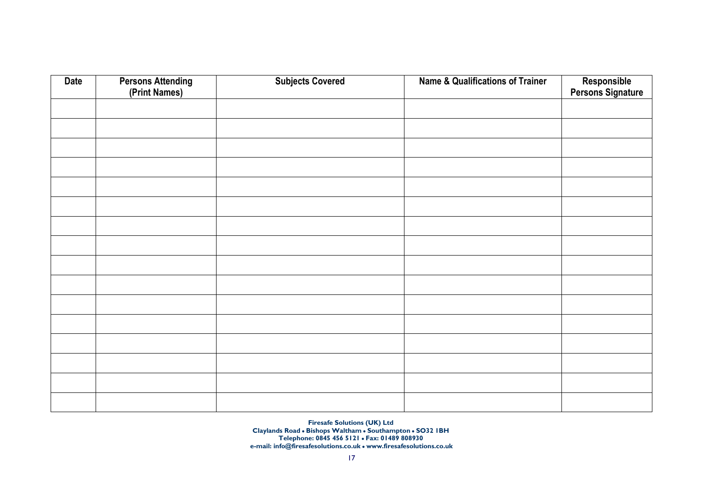| <b>Date</b> | <b>Persons Attending</b><br>(Print Names) | <b>Subjects Covered</b> | <b>Name &amp; Qualifications of Trainer</b> | Responsible<br>Persons Signature |
|-------------|-------------------------------------------|-------------------------|---------------------------------------------|----------------------------------|
|             |                                           |                         |                                             |                                  |
|             |                                           |                         |                                             |                                  |
|             |                                           |                         |                                             |                                  |
|             |                                           |                         |                                             |                                  |
|             |                                           |                         |                                             |                                  |
|             |                                           |                         |                                             |                                  |
|             |                                           |                         |                                             |                                  |
|             |                                           |                         |                                             |                                  |
|             |                                           |                         |                                             |                                  |
|             |                                           |                         |                                             |                                  |
|             |                                           |                         |                                             |                                  |
|             |                                           |                         |                                             |                                  |
|             |                                           |                         |                                             |                                  |
|             |                                           |                         |                                             |                                  |
|             |                                           |                         |                                             |                                  |
|             |                                           |                         |                                             |                                  |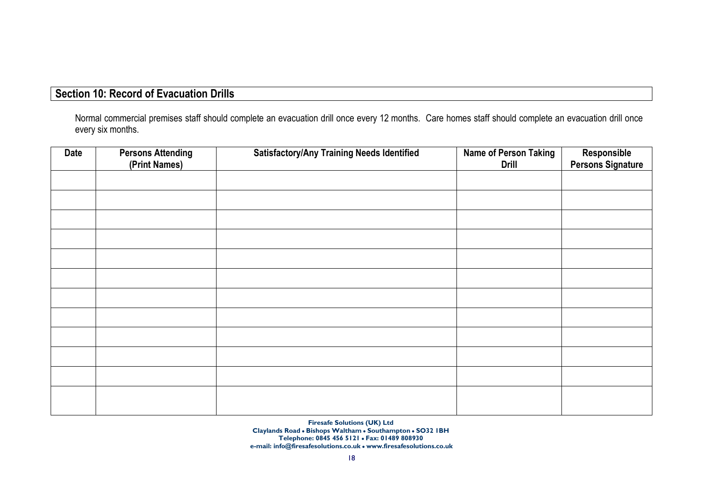# Section 10: Record of Evacuation Drills

Normal commercial premises staff should complete an evacuation drill once every 12 months. Care homes staff should complete an evacuation drill once every six months.

| <b>Date</b> | <b>Persons Attending</b> | <b>Satisfactory/Any Training Needs Identified</b> | <b>Name of Person Taking</b> | Responsible<br>Persons Signature |
|-------------|--------------------------|---------------------------------------------------|------------------------------|----------------------------------|
|             | (Print Names)            |                                                   | <b>Drill</b>                 |                                  |
|             |                          |                                                   |                              |                                  |
|             |                          |                                                   |                              |                                  |
|             |                          |                                                   |                              |                                  |
|             |                          |                                                   |                              |                                  |
|             |                          |                                                   |                              |                                  |
|             |                          |                                                   |                              |                                  |
|             |                          |                                                   |                              |                                  |
|             |                          |                                                   |                              |                                  |
|             |                          |                                                   |                              |                                  |
|             |                          |                                                   |                              |                                  |
|             |                          |                                                   |                              |                                  |
|             |                          |                                                   |                              |                                  |
|             |                          |                                                   |                              |                                  |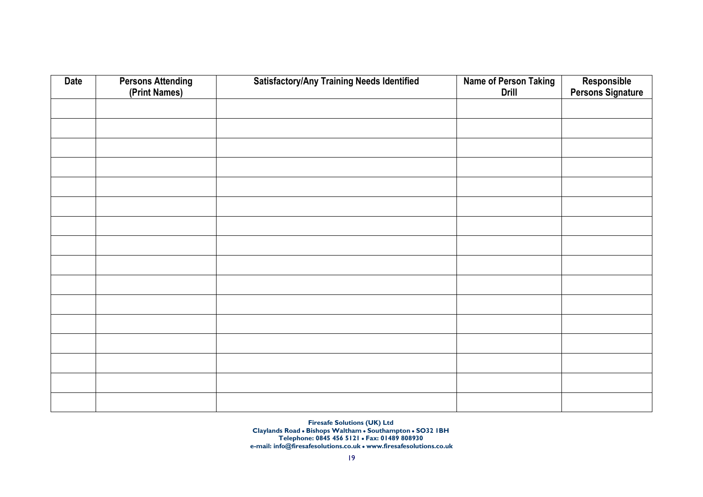| <b>Date</b> | <b>Persons Attending</b><br>(Print Names) | <b>Satisfactory/Any Training Needs Identified</b> | <b>Name of Person Taking</b><br><b>Drill</b> | Responsible<br>Persons Signature |
|-------------|-------------------------------------------|---------------------------------------------------|----------------------------------------------|----------------------------------|
|             |                                           |                                                   |                                              |                                  |
|             |                                           |                                                   |                                              |                                  |
|             |                                           |                                                   |                                              |                                  |
|             |                                           |                                                   |                                              |                                  |
|             |                                           |                                                   |                                              |                                  |
|             |                                           |                                                   |                                              |                                  |
|             |                                           |                                                   |                                              |                                  |
|             |                                           |                                                   |                                              |                                  |
|             |                                           |                                                   |                                              |                                  |
|             |                                           |                                                   |                                              |                                  |
|             |                                           |                                                   |                                              |                                  |
|             |                                           |                                                   |                                              |                                  |
|             |                                           |                                                   |                                              |                                  |
|             |                                           |                                                   |                                              |                                  |
|             |                                           |                                                   |                                              |                                  |
|             |                                           |                                                   |                                              |                                  |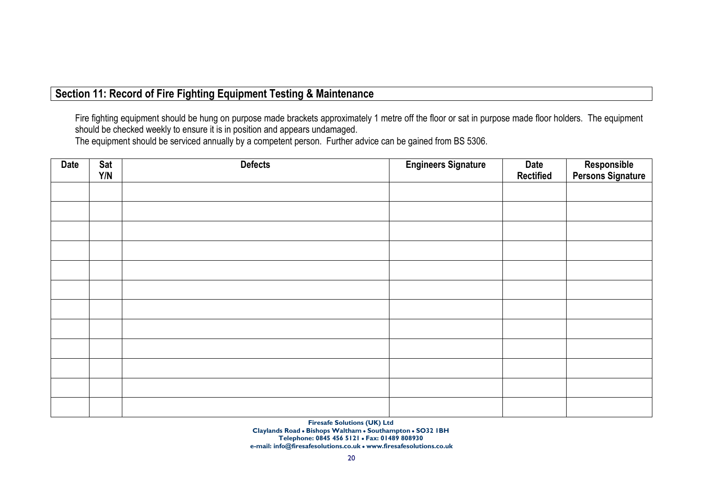# Section 11: Record of Fire Fighting Equipment Testing & Maintenance

Fire fighting equipment should be hung on purpose made brackets approximately 1 metre off the floor or sat in purpose made floor holders. The equipment should be checked weekly to ensure it is in position and appears undamaged.

The equipment should be serviced annually by a competent person. Further advice can be gained from BS 5306.

| Date | Sat<br>Y/N | <b>Defects</b> | <b>Engineers Signature</b> | Date<br><b>Rectified</b> | Responsible<br>Persons Signature |
|------|------------|----------------|----------------------------|--------------------------|----------------------------------|
|      |            |                |                            |                          |                                  |
|      |            |                |                            |                          |                                  |
|      |            |                |                            |                          |                                  |
|      |            |                |                            |                          |                                  |
|      |            |                |                            |                          |                                  |
|      |            |                |                            |                          |                                  |
|      |            |                |                            |                          |                                  |
|      |            |                |                            |                          |                                  |
|      |            |                |                            |                          |                                  |
|      |            |                |                            |                          |                                  |
|      |            |                |                            |                          |                                  |
|      |            |                |                            |                          |                                  |